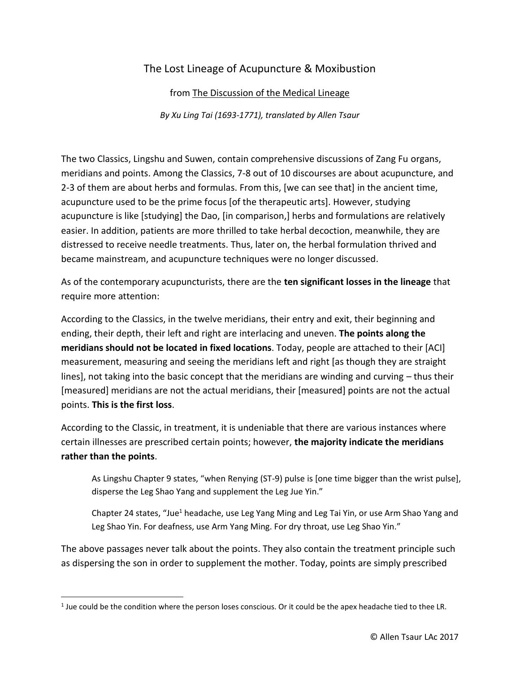## The Lost Lineage of Acupuncture & Moxibustion

from The Discussion of the Medical Lineage

*By Xu Ling Tai (1693-1771), translated by Allen Tsaur*

The two Classics, Lingshu and Suwen, contain comprehensive discussions of Zang Fu organs, meridians and points. Among the Classics, 7-8 out of 10 discourses are about acupuncture, and 2-3 of them are about herbs and formulas. From this, [we can see that] in the ancient time, acupuncture used to be the prime focus [of the therapeutic arts]. However, studying acupuncture is like [studying] the Dao, [in comparison,] herbs and formulations are relatively easier. In addition, patients are more thrilled to take herbal decoction, meanwhile, they are distressed to receive needle treatments. Thus, later on, the herbal formulation thrived and became mainstream, and acupuncture techniques were no longer discussed.

As of the contemporary acupuncturists, there are the **ten significant losses in the lineage** that require more attention:

According to the Classics, in the twelve meridians, their entry and exit, their beginning and ending, their depth, their left and right are interlacing and uneven. **The points along the meridians should not be located in fixed locations**. Today, people are attached to their [ACI] measurement, measuring and seeing the meridians left and right [as though they are straight lines], not taking into the basic concept that the meridians are winding and curving – thus their [measured] meridians are not the actual meridians, their [measured] points are not the actual points. **This is the first loss**.

According to the Classic, in treatment, it is undeniable that there are various instances where certain illnesses are prescribed certain points; however, **the majority indicate the meridians rather than the points**.

As Lingshu Chapter 9 states, "when Renying (ST-9) pulse is [one time bigger than the wrist pulse], disperse the Leg Shao Yang and supplement the Leg Jue Yin."

Chapter 24 states, "Jue<sup>1</sup> headache, use Leg Yang Ming and Leg Tai Yin, or use Arm Shao Yang and Leg Shao Yin. For deafness, use Arm Yang Ming. For dry throat, use Leg Shao Yin."

The above passages never talk about the points. They also contain the treatment principle such as dispersing the son in order to supplement the mother. Today, points are simply prescribed

 $\overline{\phantom{a}}$ 

 $<sup>1</sup>$  Jue could be the condition where the person loses conscious. Or it could be the apex headache tied to thee LR.</sup>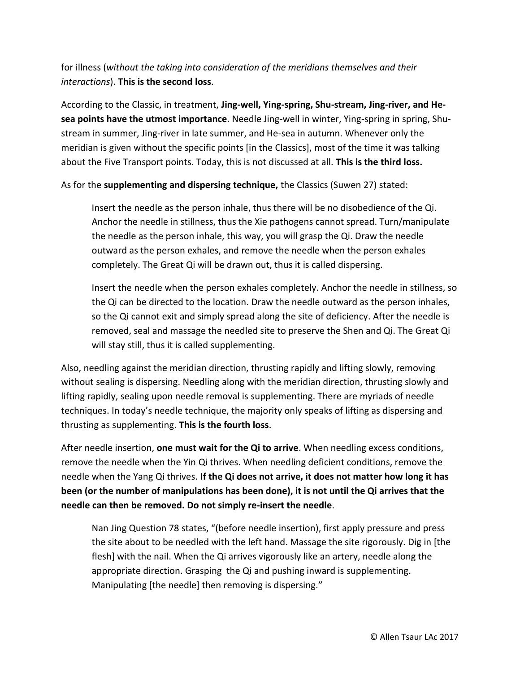for illness (*without the taking into consideration of the meridians themselves and their interactions*). **This is the second loss**.

According to the Classic, in treatment, **Jing-well, Ying-spring, Shu-stream, Jing-river, and Hesea points have the utmost importance**. Needle Jing-well in winter, Ying-spring in spring, Shustream in summer, Jing-river in late summer, and He-sea in autumn. Whenever only the meridian is given without the specific points [in the Classics], most of the time it was talking about the Five Transport points. Today, this is not discussed at all. **This is the third loss.**

As for the **supplementing and dispersing technique,** the Classics (Suwen 27) stated:

Insert the needle as the person inhale, thus there will be no disobedience of the Qi. Anchor the needle in stillness, thus the Xie pathogens cannot spread. Turn/manipulate the needle as the person inhale, this way, you will grasp the Qi. Draw the needle outward as the person exhales, and remove the needle when the person exhales completely. The Great Qi will be drawn out, thus it is called dispersing.

Insert the needle when the person exhales completely. Anchor the needle in stillness, so the Qi can be directed to the location. Draw the needle outward as the person inhales, so the Qi cannot exit and simply spread along the site of deficiency. After the needle is removed, seal and massage the needled site to preserve the Shen and Qi. The Great Qi will stay still, thus it is called supplementing.

Also, needling against the meridian direction, thrusting rapidly and lifting slowly, removing without sealing is dispersing. Needling along with the meridian direction, thrusting slowly and lifting rapidly, sealing upon needle removal is supplementing. There are myriads of needle techniques. In today's needle technique, the majority only speaks of lifting as dispersing and thrusting as supplementing. **This is the fourth loss**.

After needle insertion, **one must wait for the Qi to arrive**. When needling excess conditions, remove the needle when the Yin Qi thrives. When needling deficient conditions, remove the needle when the Yang Qi thrives. **If the Qi does not arrive, it does not matter how long it has been (or the number of manipulations has been done), it is not until the Qi arrives that the needle can then be removed. Do not simply re-insert the needle**.

Nan Jing Question 78 states, "(before needle insertion), first apply pressure and press the site about to be needled with the left hand. Massage the site rigorously. Dig in [the flesh] with the nail. When the Qi arrives vigorously like an artery, needle along the appropriate direction. Grasping the Qi and pushing inward is supplementing. Manipulating [the needle] then removing is dispersing."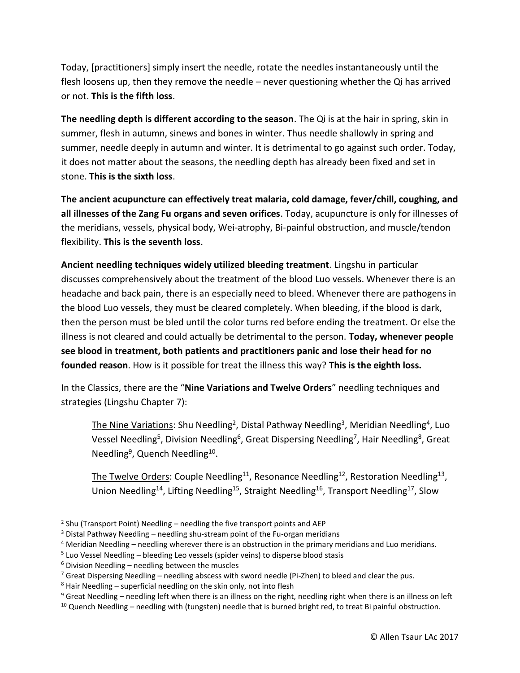Today, [practitioners] simply insert the needle, rotate the needles instantaneously until the flesh loosens up, then they remove the needle – never questioning whether the Qi has arrived or not. **This is the fifth loss**.

**The needling depth is different according to the season**. The Qi is at the hair in spring, skin in summer, flesh in autumn, sinews and bones in winter. Thus needle shallowly in spring and summer, needle deeply in autumn and winter. It is detrimental to go against such order. Today, it does not matter about the seasons, the needling depth has already been fixed and set in stone. **This is the sixth loss**.

**The ancient acupuncture can effectively treat malaria, cold damage, fever/chill, coughing, and all illnesses of the Zang Fu organs and seven orifices**. Today, acupuncture is only for illnesses of the meridians, vessels, physical body, Wei-atrophy, Bi-painful obstruction, and muscle/tendon flexibility. **This is the seventh loss**.

**Ancient needling techniques widely utilized bleeding treatment**. Lingshu in particular discusses comprehensively about the treatment of the blood Luo vessels. Whenever there is an headache and back pain, there is an especially need to bleed. Whenever there are pathogens in the blood Luo vessels, they must be cleared completely. When bleeding, if the blood is dark, then the person must be bled until the color turns red before ending the treatment. Or else the illness is not cleared and could actually be detrimental to the person. **Today, whenever people see blood in treatment, both patients and practitioners panic and lose their head for no founded reason**. How is it possible for treat the illness this way? **This is the eighth loss.**

In the Classics, there are the "**Nine Variations and Twelve Orders**" needling techniques and strategies (Lingshu Chapter 7):

The Nine Variations: Shu Needling<sup>2</sup>, Distal Pathway Needling<sup>3</sup>, Meridian Needling<sup>4</sup>, Luo Vessel Needling<sup>5</sup>, Division Needling<sup>6</sup>, Great Dispersing Needling<sup>7</sup>, Hair Needling<sup>8</sup>, Great Needling<sup>9</sup>, Quench Needling<sup>10</sup>.

The Twelve Orders: Couple Needling<sup>11</sup>, Resonance Needling<sup>12</sup>, Restoration Needling<sup>13</sup>, Union Needling<sup>14</sup>, Lifting Needling<sup>15</sup>, Straight Needling<sup>16</sup>, Transport Needling<sup>17</sup>, Slow

 $\overline{\phantom{a}}$ 

<sup>&</sup>lt;sup>2</sup> Shu (Transport Point) Needling – needling the five transport points and AEP

 $3$  Distal Pathway Needling – needling shu-stream point of the Fu-organ meridians

 $4$  Meridian Needling – needling wherever there is an obstruction in the primary meridians and Luo meridians.

<sup>&</sup>lt;sup>5</sup> Luo Vessel Needling – bleeding Leo vessels (spider veins) to disperse blood stasis

 $6$  Division Needling – needling between the muscles

<sup>&</sup>lt;sup>7</sup> Great Dispersing Needling – needling abscess with sword needle (Pi-Zhen) to bleed and clear the pus.

 $8$  Hair Needling – superficial needling on the skin only, not into flesh

 $9$  Great Needling – needling left when there is an illness on the right, needling right when there is an illness on left

 $10$  Quench Needling – needling with (tungsten) needle that is burned bright red, to treat Bi painful obstruction.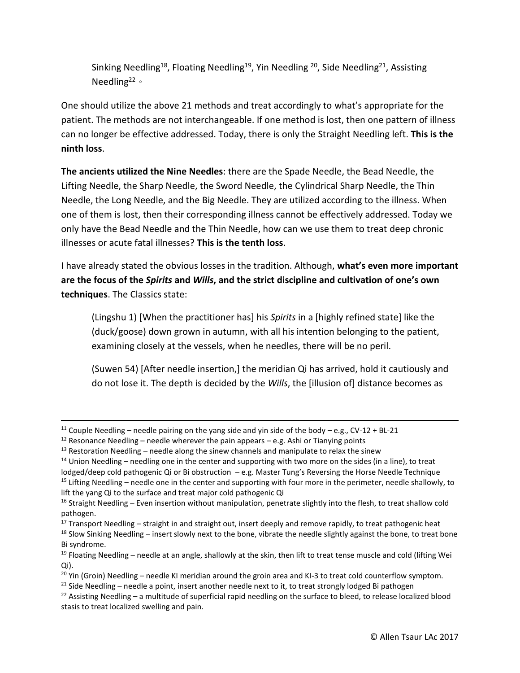Sinking Needling<sup>18</sup>, Floating Needling<sup>19</sup>, Yin Needling<sup>20</sup>, Side Needling<sup>21</sup>, Assisting Needling<sup>22</sup>。

One should utilize the above 21 methods and treat accordingly to what's appropriate for the patient. The methods are not interchangeable. If one method is lost, then one pattern of illness can no longer be effective addressed. Today, there is only the Straight Needling left. **This is the ninth loss**.

**The ancients utilized the Nine Needles**: there are the Spade Needle, the Bead Needle, the Lifting Needle, the Sharp Needle, the Sword Needle, the Cylindrical Sharp Needle, the Thin Needle, the Long Needle, and the Big Needle. They are utilized according to the illness. When one of them is lost, then their corresponding illness cannot be effectively addressed. Today we only have the Bead Needle and the Thin Needle, how can we use them to treat deep chronic illnesses or acute fatal illnesses? **This is the tenth loss**.

I have already stated the obvious losses in the tradition. Although, **what's even more important are the focus of the** *Spirits* **and** *Wills***, and the strict discipline and cultivation of one's own techniques**. The Classics state:

(Lingshu 1) [When the practitioner has] his *Spirits* in a [highly refined state] like the (duck/goose) down grown in autumn, with all his intention belonging to the patient, examining closely at the vessels, when he needles, there will be no peril.

(Suwen 54) [After needle insertion,] the meridian Qi has arrived, hold it cautiously and do not lose it. The depth is decided by the *Wills*, the [illusion of] distance becomes as

l

 $14$  Union Needling – needling one in the center and supporting with two more on the sides (in a line), to treat lodged/deep cold pathogenic Qi or Bi obstruction – e.g. Master Tung's Reversing the Horse Needle Technique  $15$  Lifting Needling – needle one in the center and supporting with four more in the perimeter, needle shallowly, to lift the yang Qi to the surface and treat major cold pathogenic Qi

 $17$  Transport Needling – straight in and straight out, insert deeply and remove rapidly, to treat pathogenic heat

<sup>&</sup>lt;sup>11</sup> Couple Needling – needle pairing on the yang side and yin side of the body – e.g., CV-12 + BL-21

<sup>&</sup>lt;sup>12</sup> Resonance Needling – needle wherever the pain appears – e.g. Ashi or Tianying points

 $13$  Restoration Needling – needle along the sinew channels and manipulate to relax the sinew

 $16$  Straight Needling – Even insertion without manipulation, penetrate slightly into the flesh, to treat shallow cold pathogen.

 $18$  Slow Sinking Needling – insert slowly next to the bone, vibrate the needle slightly against the bone, to treat bone Bi syndrome.

 $19$  Floating Needling – needle at an angle, shallowly at the skin, then lift to treat tense muscle and cold (lifting Wei Qi).

<sup>&</sup>lt;sup>20</sup> Yin (Groin) Needling – needle KI meridian around the groin area and KI-3 to treat cold counterflow symptom.

<sup>&</sup>lt;sup>21</sup> Side Needling – needle a point, insert another needle next to it, to treat strongly lodged Bi pathogen

<sup>&</sup>lt;sup>22</sup> Assisting Needling – a multitude of superficial rapid needling on the surface to bleed, to release localized blood stasis to treat localized swelling and pain.